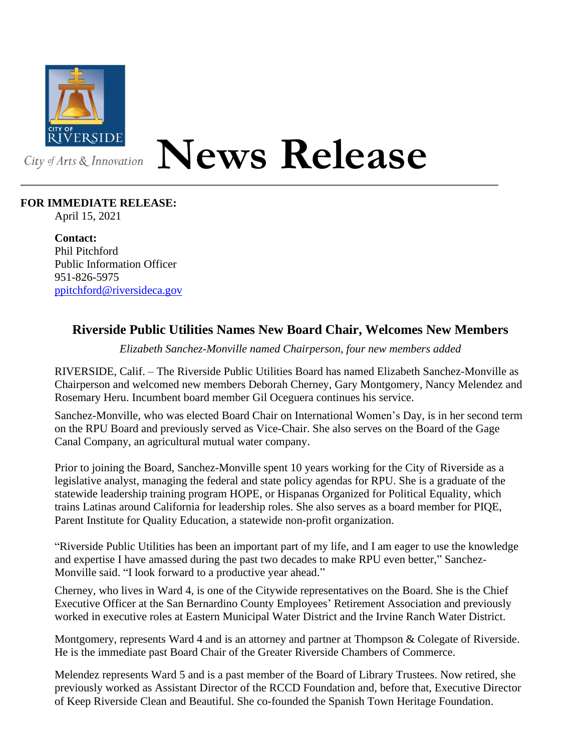

## **News Release**

## **FOR IMMEDIATE RELEASE:**

April 15, 2021

**Contact:** Phil Pitchford Public Information Officer 951-826-5975 [ppitchford@riversideca.gov](mailto:ppitchford@riversideca.gov)

## **Riverside Public Utilities Names New Board Chair, Welcomes New Members**

*Elizabeth Sanchez-Monville named Chairperson, four new members added*

RIVERSIDE, Calif. – The Riverside Public Utilities Board has named Elizabeth Sanchez-Monville as Chairperson and welcomed new members Deborah Cherney, Gary Montgomery, Nancy Melendez and Rosemary Heru. Incumbent board member Gil Oceguera continues his service.

Sanchez-Monville, who was elected Board Chair on International Women's Day, is in her second term on the RPU Board and previously served as Vice-Chair. She also serves on the Board of the Gage Canal Company, an agricultural mutual water company.

Prior to joining the Board, Sanchez-Monville spent 10 years working for the City of Riverside as a legislative analyst, managing the federal and state policy agendas for RPU. She is a graduate of the statewide leadership training program HOPE, or Hispanas Organized for Political Equality, which trains Latinas around California for leadership roles. She also serves as a board member for PIQE, Parent Institute for Quality Education, a statewide non-profit organization.

"Riverside Public Utilities has been an important part of my life, and I am eager to use the knowledge and expertise I have amassed during the past two decades to make RPU even better," Sanchez-Monville said. "I look forward to a productive year ahead."

Cherney, who lives in Ward 4, is one of the Citywide representatives on the Board. She is the Chief Executive Officer at the San Bernardino County Employees' Retirement Association and previously worked in executive roles at Eastern Municipal Water District and the Irvine Ranch Water District.

Montgomery, represents Ward 4 and is an attorney and partner at Thompson & Colegate of Riverside. He is the immediate past Board Chair of the Greater Riverside Chambers of Commerce.

Melendez represents Ward 5 and is a past member of the Board of Library Trustees. Now retired, she previously worked as Assistant Director of the RCCD Foundation and, before that, Executive Director of Keep Riverside Clean and Beautiful. She co-founded the Spanish Town Heritage Foundation.